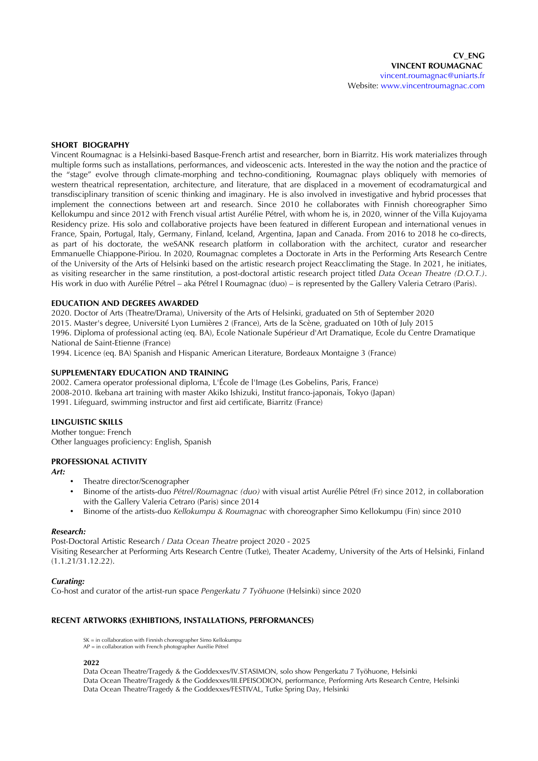## **SHORT BIOGRAPHY**

Vincent Roumagnac is a Helsinki-based Basque-French artist and researcher, born in Biarritz. His work materializes through multiple forms such as installations, performances, and videoscenic acts. Interested in the way the notion and the practice of the "stage" evolve through climate-morphing and techno-conditioning, Roumagnac plays obliquely with memories of western theatrical representation, architecture, and literature, that are displaced in a movement of ecodramaturgical and transdisciplinary transition of scenic thinking and imaginary. He is also involved in investigative and hybrid processes that implement the connections between art and research. Since 2010 he collaborates with Finnish choreographer Simo Kellokumpu and since 2012 with French visual artist Aurélie Pétrel, with whom he is, in 2020, winner of the Villa Kujoyama Residency prize. His solo and collaborative projects have been featured in different European and international venues in France, Spain, Portugal, Italy, Germany, Finland, Iceland, Argentina, Japan and Canada. From 2016 to 2018 he co-directs, as part of his doctorate, the weSANK research platform in collaboration with the architect, curator and researcher Emmanuelle Chiappone-Piriou. In 2020, Roumagnac completes a Doctorate in Arts in the Performing Arts Research Centre of the University of the Arts of Helsinki based on the artistic research project Reacclimating the Stage. In 2021, he initiates, as visiting researcher in the same rinstitution, a post-doctoral artistic research project titled *Data Ocean Theatre (D.O.T.)*. His work in duo with Aurélie Pétrel – aka Pétrel I Roumagnac (duo) – is represented by the Gallery Valeria Cetraro (Paris).

## **EDUCATION AND DEGREES AWARDED**

2020. Doctor of Arts (Theatre/Drama), University of the Arts of Helsinki, graduated on 5th of September 2020 2015. Master's degree, Universite Lyon Lumieres 2 (France), Arts de la Scene, graduated on 10th of July 2015 1996. Diploma of professional acting (eq. BA), Ecole Nationale Superieur d'Art Dramatique, Ecole du Centre Dramatique National de Saint-Etienne (France)

1994. Licence (eq. BA) Spanish and Hispanic American Literature, Bordeaux Montaigne 3 (France)

## **SUPPLEMENTARY EDUCATION AND TRAINING**

2002. Camera operator professional diploma, L'Ecole de l'Image (Les Gobelins, Paris, France) 2008-2010. Ikebana art training with master Akiko Ishizuki, Institut franco-japonais, Tokyo (Japan) 1991. Lifeguard, swimming instructor and first aid certificate, Biarritz (France)

# **LINGUISTIC SKILLS**

Mother tongue: French Other languages proficiency: English, Spanish

### **PROFESSIONAL ACTIVITY**

*Art:*

- Theatre director/Scenographer
- Binome of the artists-duo *Petrel/Roumagnac (duo)* with visual artist Aurelie Petrel (Fr) since 2012, in collaboration with the Gallery Valeria Cetraro (Paris) since 2014
- Binome of the artists-duo *Kellokumpu & Roumagnac* with choreographer Simo Kellokumpu (Fin) since 2010

### *Research:*

Post-Doctoral Artistic Research / *Data Ocean Theatre* project 2020 - 2025 Visiting Researcher at Performing Arts Research Centre (Tutke), Theater Academy, University of the Arts of Helsinki, Finland (1.1.21/31.12.22).

### *Curating:*

Co-host and curator of the artist-run space *Pengerkatu 7 Työhuone* (Helsinki) since 2020

## **RECENT ARTWORKS (EXHIBTIONS, INSTALLATIONS, PERFORMANCES)**

SK = in collaboration with Finnish choreographer Simo Kellokumpu AP = in collaboration with French photographer Aurélie Pétrel

# **2022**

Data Ocean Theatre/Tragedy & the Goddexxes/IV.STASIMON, solo show Pengerkatu 7 Työhuone, Helsinki Data Ocean Theatre/Tragedy & the Goddexxes/III.EPEISODION, performance, Performing Arts Research Centre, Helsinki Data Ocean Theatre/Tragedy & the Goddexxes/FESTIVAL, Tutke Spring Day, Helsinki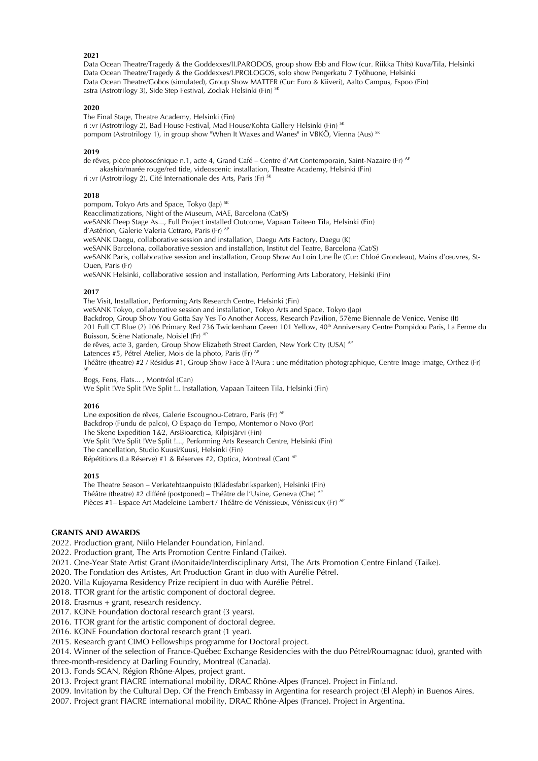### **2021**

Data Ocean Theatre/Tragedy & the Goddexxes/II.PARODOS, group show Ebb and Flow (cur. Riikka Thits) Kuva/Tila, Helsinki Data Ocean Theatre/Tragedy & the Goddexxes/I.PROLOGOS, solo show Pengerkatu 7 Työhuone, Helsinki Data Ocean Theatre/Gobos (simulated), Group Show MATTER (Cur: Euro & Kiiveri), Aalto Campus, Espoo (Fin) astra (Astrotrilogy 3), Side Step Festival, Zodiak Helsinki (Fin) Sk

## **2020**

The Final Stage, Theatre Academy, Helsinki (Fin) ri :vr (Astrotrilogy 2), Bad House Festival, Mad House/Kohta Gallery Helsinki (Fin) SK pompom (Astrotrilogy 1), in group show "When It Waxes and Wanes" in VBKÖ, Vienna (Aus) <sup>SK</sup>

### **2019**

de rêves, pièce photoscénique n.1, acte 4, Grand Café – Centre d'Art Contemporain, Saint-Nazaire (Fr) <sup>AP</sup>

□ akashio/marée rouge/red tide, videoscenic installation, Theatre Academy, Helsinki (Fin)

ri :vr (Astrotrilogy 2), Cité Internationale des Arts, Paris (Fr)

#### **2018**

pompom, Tokyo Arts and Space, Tokyo (Jap)<sup>SK</sup>

Reacclimatizations, Night of the Museum, MAE, Barcelona (Cat/S)

weSANK Deep Stage As..., Full Project installed Outcome, Vapaan Taiteen Tila, Helsinki (Fin) d'Astérion, Galerie Valeria Cetraro, Paris (Fr) AP

weSANK Daegu, collaborative session and installation, Daegu Arts Factory, Daegu (K)

weSANK Barcelona, collaborative session and installation, Institut del Teatre, Barcelona (Cat/S)

weSANK Paris, collaborative session and installation, Group Show Au Loin Une Ile (Cur: Chloe Grondeau), Mains d'œuvres, St-Ouen, Paris (Fr)

weSANK Helsinki, collaborative session and installation, Performing Arts Laboratory, Helsinki (Fin)

## **2017**

The Visit, Installation, Performing Arts Research Centre, Helsinki (Fin)

weSANK Tokyo, collaborative session and installation, Tokyo Arts and Space, Tokyo (Jap)

Backdrop, Group Show You Gotta Say Yes To Another Access, Research Pavilion, 57eme Biennale de Venice, Venise (It)

201 Full CT Blue (2) 106 Primary Red 736 Twickenham Green 101 Yellow, 40<sup>th</sup> Anniversary Centre Pompidou Paris, La Ferme du Buisson, Scène Nationale, Noisiel (Fr) AF

de rêves, acte 3, garden, Group Show Elizabeth Street Garden, New York City (USA) <sup>AP</sup>

Latences #5, Pétrel Atelier, Mois de la photo, Paris (Fr) <sup>Al</sup>

Théâtre (theatre) #2 / Résidus #1, Group Show Face à l'Aura : une méditation photographique, Centre Image imatge, Orthez (Fr) AP

Bogs, Fens, Flats..., Montréal (Can) We Split !We Split !We Split !.. Installation, Vapaan Taiteen Tila, Helsinki (Fin)

#### **2016**

Une exposition de rêves, Galerie Escougnou-Cetraro, Paris (Fr) <sup>AP</sup> Backdrop (Fundu de palco), O Espaco do Tempo, Montemor o Novo (Por) The Skene Expedition 1&2, ArsBioarctica, Kilpisjarvi (Fin) We Split !We Split !We Split !..., Performing Arts Research Centre, Helsinki (Fin) The cancellation, Studio Kuusi/Kuusi, Helsinki (Fin) Répétitions (La Réserve) #1 & Réserves #2, Optica, Montreal (Can) <sup>AP</sup>

#### **2015**

The Theatre Season – Verkatehtaanpuisto (Kladesfabriksparken), Helsinki (Fin) Théâtre (theatre) #2 différé (postponed) – Théâtre de l'Usine, Geneva (Che) <sup>AF</sup> Pièces #1– Espace Art Madeleine Lambert / Théâtre de Vénissieux, Vénissieux (Fr) <sup>AP</sup>

## **GRANTS AND AWARDS**

2022. Production grant, Niilo Helander Foundation, Finland.

2022. Production grant, The Arts Promotion Centre Finland (Taike).

2021. One-Year State Artist Grant (Monitaide/Interdisciplinary Arts), The Arts Promotion Centre Finland (Taike).

2020. The Fondation des Artistes, Art Production Grant in duo with Aurelie Petrel.

2020. Villa Kujoyama Residency Prize recipient in duo with Aurelie Petrel.

2018. TTOR grant for the artistic component of doctoral degree.

2018. Erasmus + grant, research residency.

2017. KONE Foundation doctoral research grant (3 years).

2016. TTOR grant for the artistic component of doctoral degree.

2016. KONE Foundation doctoral research grant (1 year).

2015. Research grant CIMO Fellowships programme for Doctoral project.

2014. Winner of the selection of France-Quebec Exchange Residencies with the duo Petrel/Roumagnac (duo), granted with three-month-residency at Darling Foundry, Montreal (Canada).

2013. Fonds SCAN, Région Rhône-Alpes, project grant.

2013. Project grant FIACRE international mobility, DRAC Rhone-Alpes (France). Project in Finland.

2009. Invitation by the Cultural Dep. Of the French Embassy in Argentina for research project (El Aleph) in Buenos Aires.

2007. Project grant FIACRE international mobility, DRAC Rhone-Alpes (France). Project in Argentina.